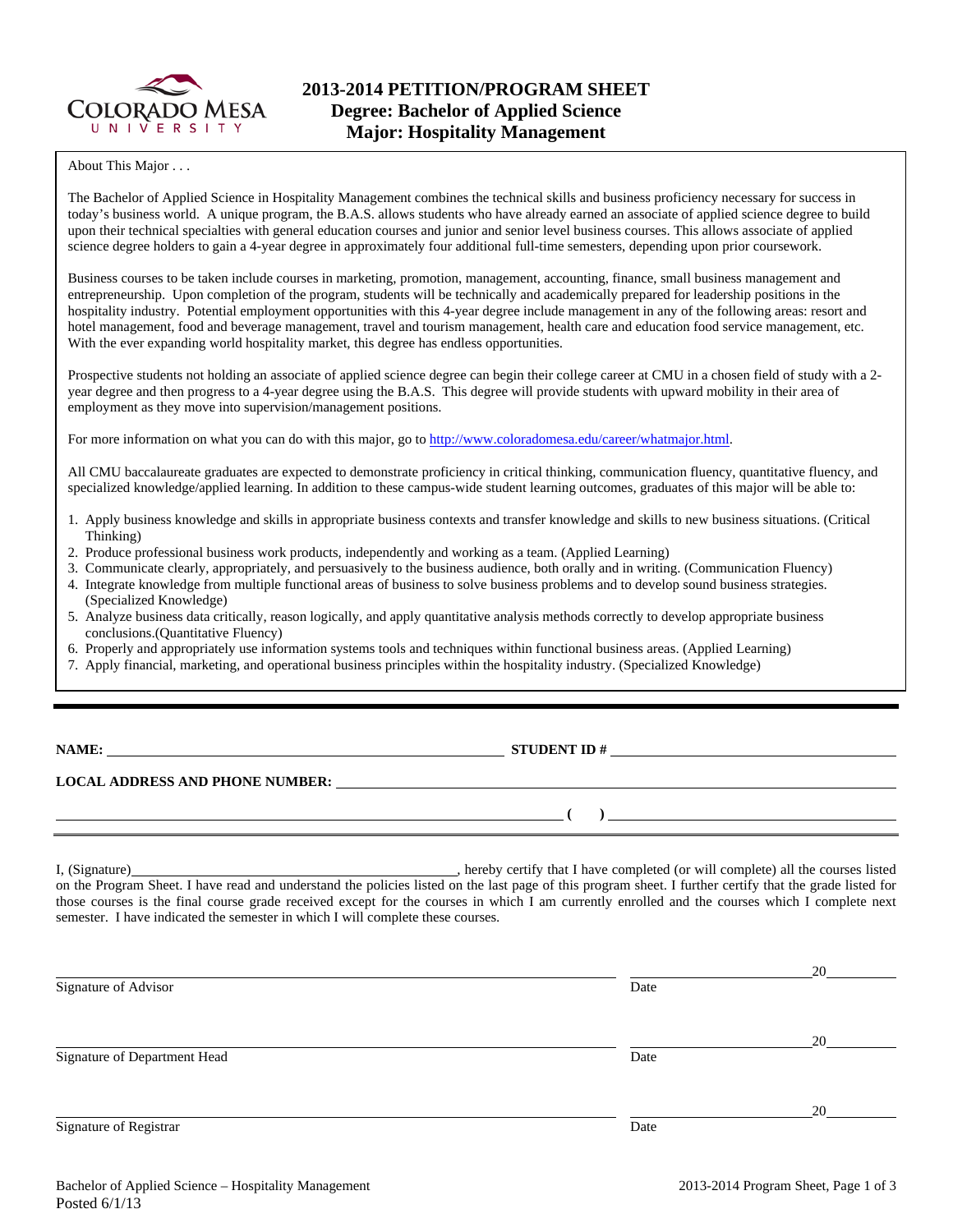

About This Major . . .

The Bachelor of Applied Science in Hospitality Management combines the technical skills and business proficiency necessary for success in today's business world. A unique program, the B.A.S. allows students who have already earned an associate of applied science degree to build upon their technical specialties with general education courses and junior and senior level business courses. This allows associate of applied science degree holders to gain a 4-year degree in approximately four additional full-time semesters, depending upon prior coursework.

Business courses to be taken include courses in marketing, promotion, management, accounting, finance, small business management and entrepreneurship. Upon completion of the program, students will be technically and academically prepared for leadership positions in the hospitality industry. Potential employment opportunities with this 4-year degree include management in any of the following areas: resort and hotel management, food and beverage management, travel and tourism management, health care and education food service management, etc. With the ever expanding world hospitality market, this degree has endless opportunities.

Prospective students not holding an associate of applied science degree can begin their college career at CMU in a chosen field of study with a 2 year degree and then progress to a 4-year degree using the B.A.S. This degree will provide students with upward mobility in their area of employment as they move into supervision/management positions.

For more information on what you can do with this major, go to http://www.coloradomesa.edu/career/whatmajor.html.

All CMU baccalaureate graduates are expected to demonstrate proficiency in critical thinking, communication fluency, quantitative fluency, and specialized knowledge/applied learning. In addition to these campus-wide student learning outcomes, graduates of this major will be able to:

- 1. Apply business knowledge and skills in appropriate business contexts and transfer knowledge and skills to new business situations. (Critical Thinking)
- 2. Produce professional business work products, independently and working as a team. (Applied Learning)
- 3. Communicate clearly, appropriately, and persuasively to the business audience, both orally and in writing. (Communication Fluency)
- 4. Integrate knowledge from multiple functional areas of business to solve business problems and to develop sound business strategies. (Specialized Knowledge)
- 5. Analyze business data critically, reason logically, and apply quantitative analysis methods correctly to develop appropriate business conclusions.(Quantitative Fluency)
- 6. Properly and appropriately use information systems tools and techniques within functional business areas. (Applied Learning)
- 7. Apply financial, marketing, and operational business principles within the hospitality industry. (Specialized Knowledge)

| <b>NAME:</b> |
|--------------|
|--------------|

**STUDENT ID #** 

 **( )** 

## **LOCAL ADDRESS AND PHONE NUMBER:**

I, (Signature) , hereby certify that I have completed (or will complete) all the courses listed on the Program Sheet. I have read and understand the policies listed on the last page of this program sheet. I further certify that the grade listed for those courses is the final course grade received except for the courses in which I am currently enrolled and the courses which I complete next semester. I have indicated the semester in which I will complete these courses.

|                              |      | 20 |
|------------------------------|------|----|
| Signature of Advisor         | Date |    |
|                              |      | 20 |
| Signature of Department Head | Date |    |
|                              |      | 20 |
| Signature of Registrar       | Date |    |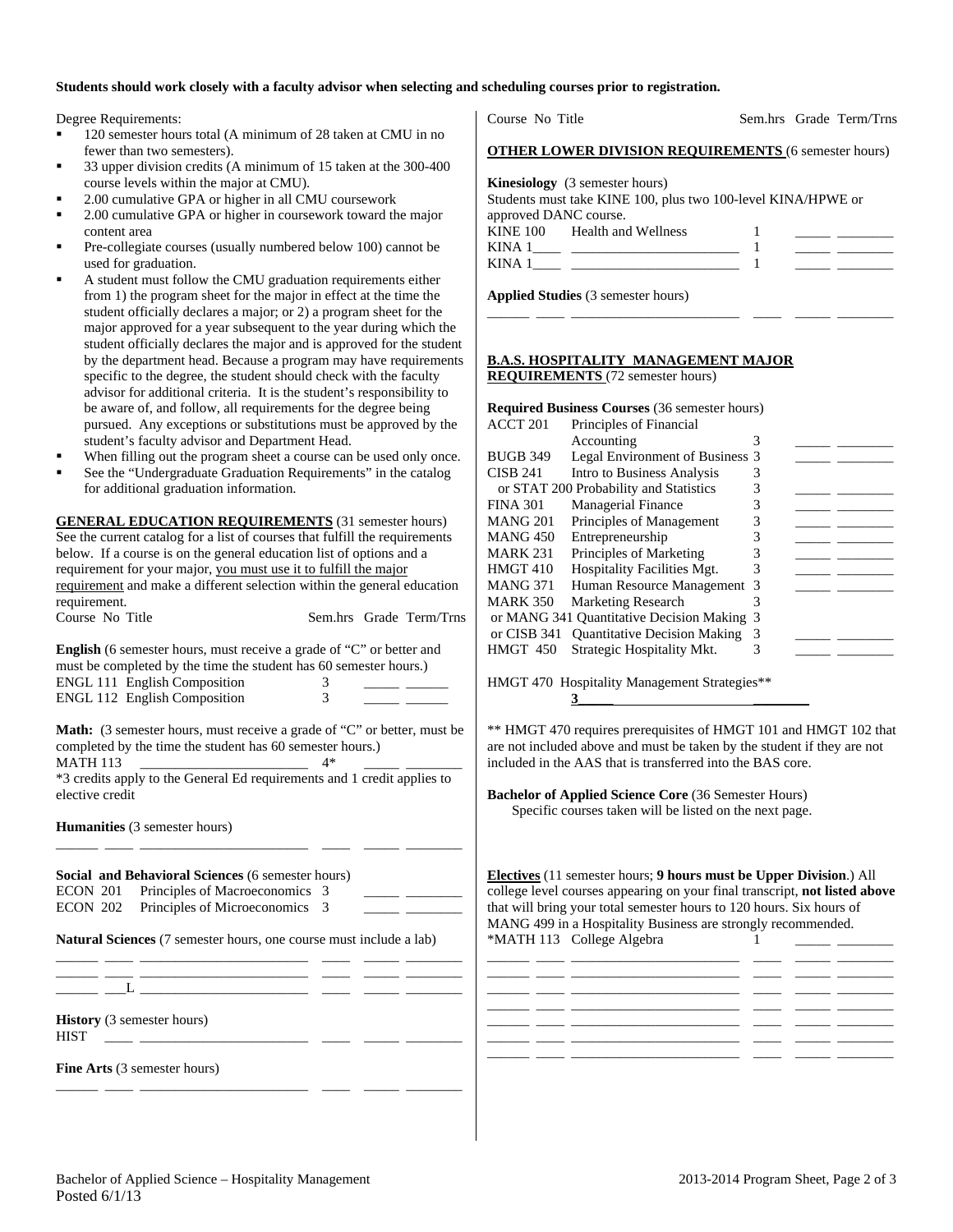## **Students should work closely with a faculty advisor when selecting and scheduling courses prior to registration.**

Degree Requirements:

- 120 semester hours total (A minimum of 28 taken at CMU in no fewer than two semesters).
- 33 upper division credits (A minimum of 15 taken at the 300-400 course levels within the major at CMU).
- 2.00 cumulative GPA or higher in all CMU coursework
- 2.00 cumulative GPA or higher in coursework toward the major content area
- Pre-collegiate courses (usually numbered below 100) cannot be used for graduation.
- A student must follow the CMU graduation requirements either from 1) the program sheet for the major in effect at the time the student officially declares a major; or 2) a program sheet for the major approved for a year subsequent to the year during which the student officially declares the major and is approved for the student by the department head. Because a program may have requirements specific to the degree, the student should check with the faculty advisor for additional criteria. It is the student's responsibility to be aware of, and follow, all requirements for the degree being pursued. Any exceptions or substitutions must be approved by the student's faculty advisor and Department Head.
- When filling out the program sheet a course can be used only once.
- See the "Undergraduate Graduation Requirements" in the catalog for additional graduation information.

**GENERAL EDUCATION REQUIREMENTS** (31 semester hours) See the current catalog for a list of courses that fulfill the requirements below. If a course is on the general education list of options and a requirement for your major, you must use it to fulfill the major requirement and make a different selection within the general education requirement.

| Course No Title |  |  | Sem.hrs Grade Term/Trns |
|-----------------|--|--|-------------------------|
|                 |  |  |                         |

**English** (6 semester hours, must receive a grade of "C" or better and must be completed by the time the student has 60 semester hours.) ENGL 111 English Composition 3 ENGL 112 English Composition 3

**Math:** (3 semester hours, must receive a grade of "C" or better, must be completed by the time the student has 60 semester hours.)

\_\_\_\_\_\_ \_\_\_\_ \_\_\_\_\_\_\_\_\_\_\_\_\_\_\_\_\_\_\_\_\_\_\_\_ \_\_\_\_ \_\_\_\_\_ \_\_\_\_\_\_\_\_

MATH 113 \_\_\_\_\_\_\_\_\_\_\_\_\_\_\_\_\_\_\_\_\_\_\_\_ 4\* \_\_\_\_\_ \_\_\_\_\_\_\_\_ \*3 credits apply to the General Ed requirements and 1 credit applies to

**Humanities** (3 semester hours)

**Social and Behavioral Sciences** (6 semester hours) ECON 201 Principles of Macroeconomics 3 ECON 202 Principles of Microeconomics 3

**Natural Sciences** (7 semester hours, one course must include a lab)

\_\_\_\_\_\_ \_\_\_\_ \_\_\_\_\_\_\_\_\_\_\_\_\_\_\_\_\_\_\_\_\_\_\_\_ \_\_\_\_ \_\_\_\_\_ \_\_\_\_\_\_\_\_

\_\_\_\_\_\_ \_\_\_\_ \_\_\_\_\_\_\_\_\_\_\_\_\_\_\_\_\_\_\_\_\_\_\_\_ \_\_\_\_ \_\_\_\_\_ \_\_\_\_\_\_\_\_

\_\_\_\_\_\_ \_\_\_\_ \_\_\_\_\_\_\_\_\_\_\_\_\_\_\_\_\_\_\_\_\_\_\_\_ \_\_\_\_ \_\_\_\_\_ \_\_\_\_\_\_\_\_  $\_\_$   $\_\_$ 

elective credit

**History** (3 semester hours)

HIST \_\_\_\_ \_\_\_\_\_\_\_\_\_\_\_\_\_\_\_\_\_\_\_\_\_\_\_\_ \_\_\_\_ \_\_\_\_\_ \_\_\_\_\_\_\_\_

**Fine Arts** (3 semester hours)

| <b>OTHER LOWER DIVISION REQUIREMENTS (6 semester hours)</b>                                                                    |  |
|--------------------------------------------------------------------------------------------------------------------------------|--|
| <b>Kinesiology</b> (3 semester hours)<br>Students must take KINE 100, plus two 100-level KINA/HPWE or<br>approved DANC course. |  |
| KINE 100 Health and Wellness<br>$KINA 1 \qquad \qquad \boxed{ \qquad \qquad }$                                                 |  |

\_\_\_\_\_\_ \_\_\_\_ \_\_\_\_\_\_\_\_\_\_\_\_\_\_\_\_\_\_\_\_\_\_\_\_ \_\_\_\_ \_\_\_\_\_ \_\_\_\_\_\_\_\_

Course No Title Sem.hrs Grade Term/Trns

**Applied Studies** (3 semester hours)

## **B.A.S. HOSPITALITY MANAGEMENT MAJOR REQUIREMENTS** (72 semester hours)

| <b>Required Business Courses (36 semester hours)</b> |                                            |   |  |  |  |  |  |
|------------------------------------------------------|--------------------------------------------|---|--|--|--|--|--|
| ACCT 201                                             | Principles of Financial                    |   |  |  |  |  |  |
|                                                      | Accounting                                 | 3 |  |  |  |  |  |
| <b>BUGB 349</b>                                      | Legal Environment of Business 3            |   |  |  |  |  |  |
| <b>CISB 241</b>                                      | Intro to Business Analysis                 | 3 |  |  |  |  |  |
|                                                      | or STAT 200 Probability and Statistics     | 3 |  |  |  |  |  |
| <b>FINA 301</b>                                      | <b>Managerial Finance</b>                  | 3 |  |  |  |  |  |
| <b>MANG 201</b>                                      | Principles of Management                   | 3 |  |  |  |  |  |
| <b>MANG 450</b>                                      | Entrepreneurship                           | 3 |  |  |  |  |  |
| <b>MARK 231</b>                                      | Principles of Marketing                    |   |  |  |  |  |  |
| <b>HMGT 410</b>                                      | <b>Hospitality Facilities Mgt.</b>         | 3 |  |  |  |  |  |
| <b>MANG 371</b>                                      | Human Resource Management 3                |   |  |  |  |  |  |
| <b>MARK 350</b>                                      | <b>Marketing Research</b>                  |   |  |  |  |  |  |
|                                                      | or MANG 341 Quantitative Decision Making 3 |   |  |  |  |  |  |
| or CISB 341                                          | <b>Ouantitative Decision Making</b>        | 3 |  |  |  |  |  |
| <b>HMGT 450</b>                                      | Strategic Hospitality Mkt.                 | 3 |  |  |  |  |  |
|                                                      |                                            |   |  |  |  |  |  |

HMGT 470 Hospitality Management Strategies\*\*

\*\* HMGT 470 requires prerequisites of HMGT 101 and HMGT 102 that are not included above and must be taken by the student if they are not included in the AAS that is transferred into the BAS core.

**3** 

**Bachelor of Applied Science Core** (36 Semester Hours) Specific courses taken will be listed on the next page.

**Electives** (11 semester hours; **9 hours must be Upper Division**.) All college level courses appearing on your final transcript, **not listed above** that will bring your total semester hours to 120 hours. Six hours of MANG 499 in a Hospitality Business are strongly recommended. \*MATH 113 College Algebra 1

|  | <u> 2002 - 2003 - Andrea Andrew Amerikaanse kommunister (h. 2003).</u> |  |  |
|--|------------------------------------------------------------------------|--|--|
|  |                                                                        |  |  |
|  |                                                                        |  |  |
|  |                                                                        |  |  |